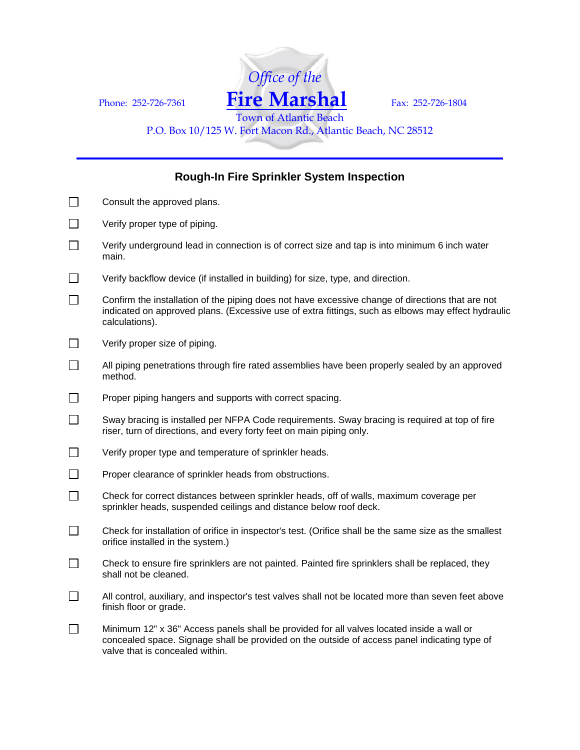

P.O. Box 10/125 W. Fort Macon Rd., Atlantic Beach, NC 28512

## **Rough-In Fire Sprinkler System Inspection**

| $\Box$         | Consult the approved plans.                                                                                                                                                                                                  |
|----------------|------------------------------------------------------------------------------------------------------------------------------------------------------------------------------------------------------------------------------|
| $\Box$         | Verify proper type of piping.                                                                                                                                                                                                |
| $\Box$         | Verify underground lead in connection is of correct size and tap is into minimum 6 inch water<br>main.                                                                                                                       |
|                | Verify backflow device (if installed in building) for size, type, and direction.                                                                                                                                             |
| $\Box$         | Confirm the installation of the piping does not have excessive change of directions that are not<br>indicated on approved plans. (Excessive use of extra fittings, such as elbows may effect hydraulic<br>calculations).     |
| $\Box$         | Verify proper size of piping.                                                                                                                                                                                                |
|                | All piping penetrations through fire rated assemblies have been properly sealed by an approved<br>method.                                                                                                                    |
| $\Box$         | Proper piping hangers and supports with correct spacing.                                                                                                                                                                     |
| $\Box$         | Sway bracing is installed per NFPA Code requirements. Sway bracing is required at top of fire<br>riser, turn of directions, and every forty feet on main piping only.                                                        |
| $\Box$         | Verify proper type and temperature of sprinkler heads.                                                                                                                                                                       |
| $\Box$         | Proper clearance of sprinkler heads from obstructions.                                                                                                                                                                       |
| $\Box$         | Check for correct distances between sprinkler heads, off of walls, maximum coverage per<br>sprinkler heads, suspended ceilings and distance below roof deck.                                                                 |
| $\Box$         | Check for installation of orifice in inspector's test. (Orifice shall be the same size as the smallest<br>orifice installed in the system.)                                                                                  |
| $\Box$         | Check to ensure fire sprinklers are not painted. Painted fire sprinklers shall be replaced, they<br>shall not be cleaned.                                                                                                    |
| $\mathbb{R}^n$ | All control, auxiliary, and inspector's test valves shall not be located more than seven feet above<br>finish floor or grade.                                                                                                |
| $\Box$         | Minimum 12" x 36" Access panels shall be provided for all valves located inside a wall or<br>concealed space. Signage shall be provided on the outside of access panel indicating type of<br>valve that is concealed within. |